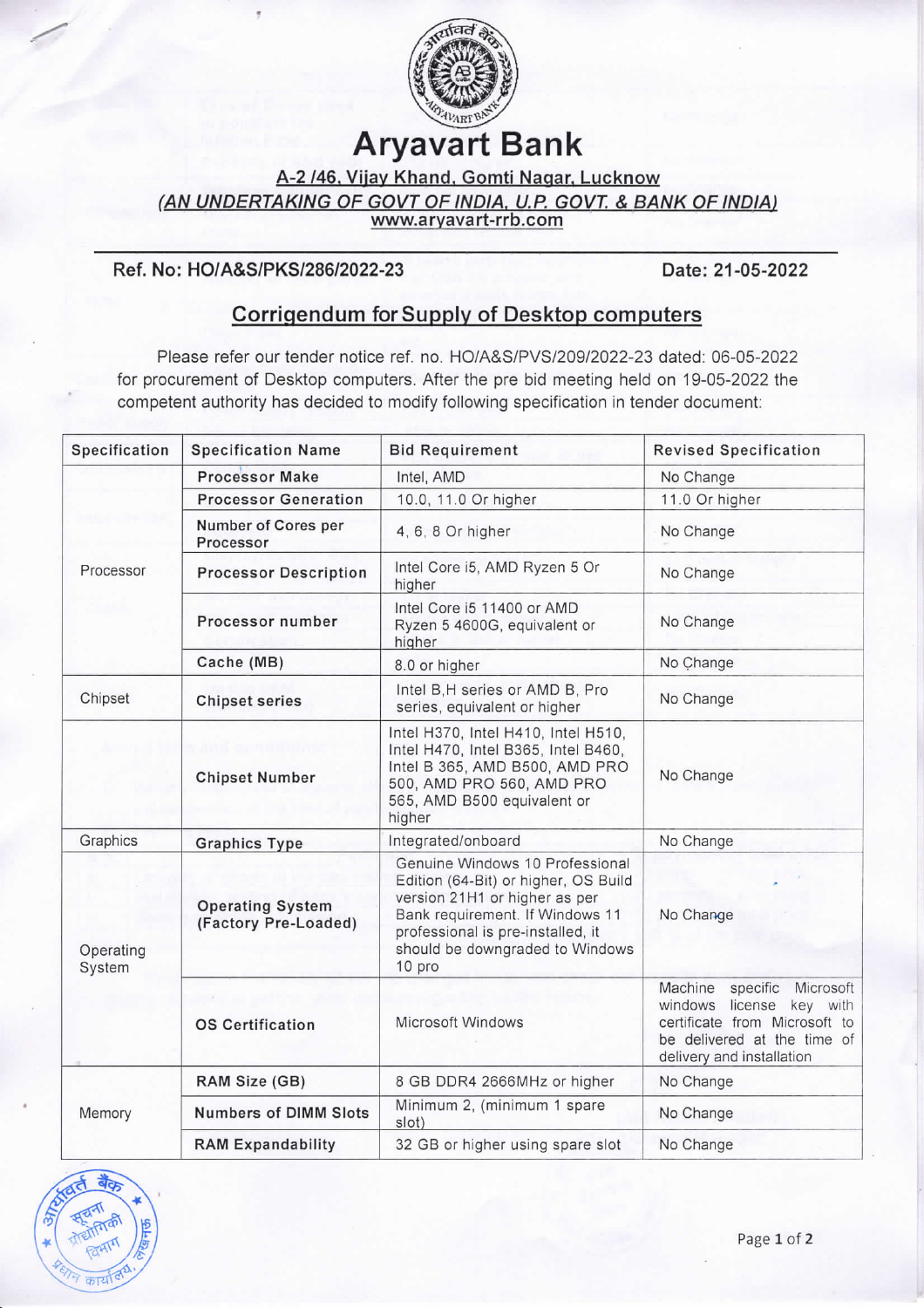

## **Aryavart Bank**

A-2 /46, Vijay Khand, Gomti Nagar, Lucknow

(AN UNDERTAKING OF GOVT OF INDIA, U.P. GOVT. & BANK OF INDIA)

www.aryavart-rrb.com

## Ref. No: HO/A&S/PKS/286/2022-23

Date: 21-05-2022

## Corrigendum for Supply of Desktop computers

Please refer our tender notice ref. no. HO/A&S/PVS/209/2022-23 dated: 06-05-2022 for procurement of Desktop computers. After the pre bid meeting held on 19-05-2022 the competent authority has decided to modify following specification in tender document:

| Specification       | <b>Specification Name</b>                       | <b>Bid Requirement</b>                                                                                                                                                                                                        | <b>Revised Specification</b>                                                                                                                              |  |
|---------------------|-------------------------------------------------|-------------------------------------------------------------------------------------------------------------------------------------------------------------------------------------------------------------------------------|-----------------------------------------------------------------------------------------------------------------------------------------------------------|--|
|                     | <b>Processor Make</b>                           | Intel, AMD                                                                                                                                                                                                                    | No Change                                                                                                                                                 |  |
|                     | <b>Processor Generation</b>                     | 10.0, 11.0 Or higher                                                                                                                                                                                                          | 11.0 Or higher                                                                                                                                            |  |
|                     | Number of Cores per<br>Processor                | 4, 6, 8 Or higher                                                                                                                                                                                                             | No Change                                                                                                                                                 |  |
| Processor           | <b>Processor Description</b>                    | Intel Core i5, AMD Ryzen 5 Or<br>higher                                                                                                                                                                                       | No Change                                                                                                                                                 |  |
|                     | Processor number                                | Intel Core i5 11400 or AMD<br>Ryzen 5 4600G, equivalent or<br>higher                                                                                                                                                          | No Change                                                                                                                                                 |  |
|                     | Cache (MB)                                      | 8.0 or higher                                                                                                                                                                                                                 | No Change                                                                                                                                                 |  |
| Chipset             | <b>Chipset series</b>                           | Intel B, H series or AMD B, Pro<br>series, equivalent or higher                                                                                                                                                               | No Change                                                                                                                                                 |  |
|                     | <b>Chipset Number</b>                           | Intel H370, Intel H410, Intel H510,<br>Intel H470, Intel B365, Intel B460,<br>Intel B 365, AMD B500, AMD PRO<br>500, AMD PRO 560, AMD PRO<br>565, AMD B500 equivalent or<br>higher                                            | No Change                                                                                                                                                 |  |
| Graphics            | <b>Graphics Type</b>                            | Integrated/onboard                                                                                                                                                                                                            | No Change                                                                                                                                                 |  |
| Operating<br>System | <b>Operating System</b><br>(Factory Pre-Loaded) | Genuine Windows 10 Professional<br>Edition (64-Bit) or higher, OS Build<br>version 21H1 or higher as per<br>Bank requirement. If Windows 11<br>professional is pre-installed, it<br>should be downgraded to Windows<br>10 pro | No Change                                                                                                                                                 |  |
|                     | <b>OS Certification</b>                         | Microsoft Windows                                                                                                                                                                                                             | Machine<br>specific<br>Microsoft<br>windows license key with<br>certificate from Microsoft to<br>be delivered at the time of<br>delivery and installation |  |
| Memory              | RAM Size (GB)                                   | 8 GB DDR4 2666MHz or higher                                                                                                                                                                                                   | No Change                                                                                                                                                 |  |
|                     | <b>Numbers of DIMM Slots</b>                    | Minimum 2, (minimum 1 spare<br>slot)                                                                                                                                                                                          | No Change                                                                                                                                                 |  |
|                     | <b>RAM Expandability</b>                        | 32 GB or higher using spare slot                                                                                                                                                                                              | No Change                                                                                                                                                 |  |

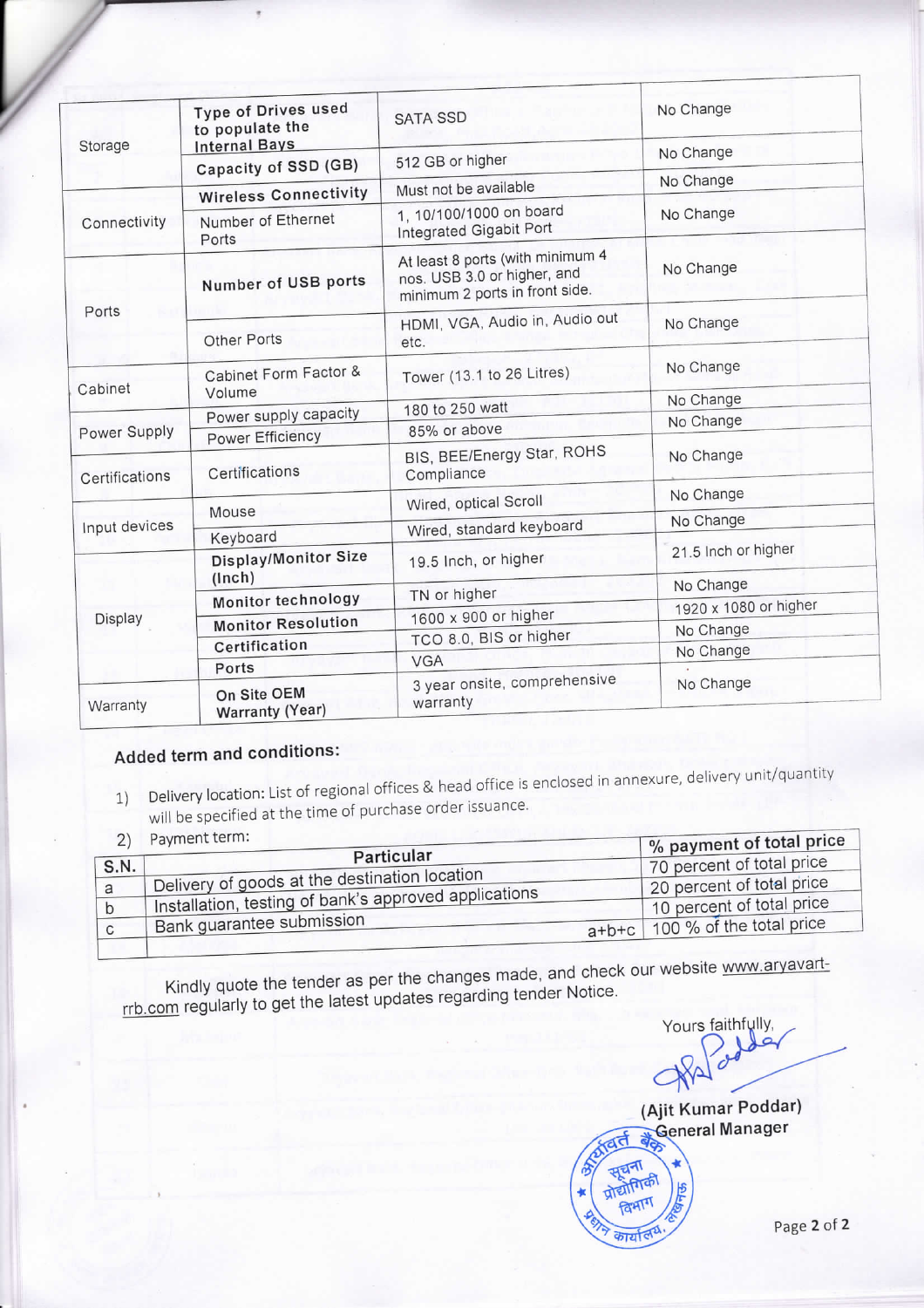| Storage        | Type of Drives used<br>to populate the<br><b>Internal Bays</b> | <b>SATA SSD</b>                                                                                   | No Change           |  |
|----------------|----------------------------------------------------------------|---------------------------------------------------------------------------------------------------|---------------------|--|
|                | Capacity of SSD (GB)                                           | 512 GB or higher                                                                                  | No Change           |  |
|                | <b>Wireless Connectivity</b>                                   | Must not be available                                                                             |                     |  |
| Connectivity   | Number of Ethernet<br>Ports                                    | 1, 10/100/1000 on board<br>Integrated Gigabit Port                                                | No Change           |  |
| Ports          | Number of USB ports                                            | At least 8 ports (with minimum 4<br>nos. USB 3.0 or higher, and<br>minimum 2 ports in front side. | No Change           |  |
|                | Other Ports                                                    | HDMI, VGA, Audio in, Audio out<br>etc.                                                            | No Change           |  |
| Cabinet        | Cabinet Form Factor &<br>Volume                                | Tower (13.1 to 26 Litres)                                                                         | No Change           |  |
|                | Power supply capacity                                          | 180 to 250 watt                                                                                   | No Change           |  |
| Power Supply   | <b>Power Efficiency</b>                                        | 85% or above                                                                                      | No Change           |  |
| Certifications | Certifications                                                 | BIS, BEE/Energy Star, ROHS<br>Compliance                                                          | No Change           |  |
|                |                                                                | Wired, optical Scroll                                                                             | No Change           |  |
| Input devices  | Mouse                                                          |                                                                                                   | No Change           |  |
|                | Keyboard                                                       | Wired, standard keyboard                                                                          |                     |  |
| Display        | Display/Monitor Size<br>(lnch)                                 | 19.5 Inch, or higher                                                                              | 21.5 Inch or higher |  |
|                | Monitor technology                                             | No Change<br>TN or higher                                                                         |                     |  |
|                | <b>Monitor Resolution</b>                                      | 1920 x 1080 or higher<br>1600 x 900 or higher                                                     |                     |  |
|                | Certification                                                  | No Change<br>TCO 8.0, BIS or higher                                                               |                     |  |
|                | Ports                                                          | No Change<br><b>VGA</b>                                                                           |                     |  |
| Warranty       | On Site OEM<br>Warranty (Year)                                 | 3 year onsite, comprehensive<br>warranty                                                          | No Change           |  |
|                |                                                                |                                                                                                   |                     |  |

## Added term and conditions:

- Delivery location: List of regional offices & head office is enclosed in annexure, delivery unit/quantity  $1)$ will be specified at the time of purchase order issuance.
- 

| $\sim$ | Payment term:                                         | $\%$ payment of total price |
|--------|-------------------------------------------------------|-----------------------------|
| S.N.   | Particular                                            | 70 percent of total price   |
|        | Delivery of goods at the destination location         | 20 percent of total price   |
|        | Installation, testing of bank's approved applications | 10 percent of total price   |
|        | <b>Bank guarantee submission</b><br>$a+b+c$           | 100 % of the total price    |

Kindly quote the tender as per the changes made, and check our website www.aryavartrrb.com regularly to get the latest updates regarding tender Notice.

Yours faithfully,  $\overline{a}$  $\epsilon$ 





Page 2 of 2